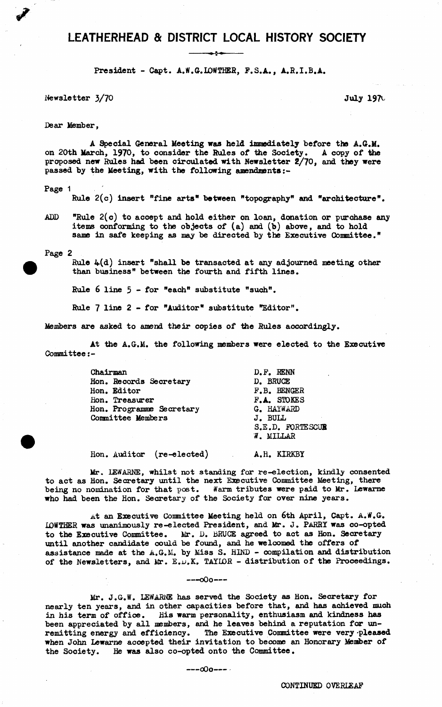# LEATHERHEAD & DISTRICT LOCAL HISTORY SOCIETY

**President - Capt. A.W.G.LOWTHER, F.S.A., A.R.I.B.A.**

**Newsletter 3/70** July 197 $\cup$ 

**Dear Member,**

**A Special General Meeting was held immediately before the A.G.M. on 20th March, 1970, to consider the Rules of the Society. A copy of the proposed new Rules had been circulated with Newsletter 2/70, and they were passed by the Meeting, with the following amendments**

**Page 1**

**Rule 2(c) insert "fine arts" between "topography" and "architecture".**

**ADD "Rule 2(c) to accept and hold either on loan, donation or purchase any items conforming to the objects of (a) and (b) above, and to hold same in safe keeping as may be directed by the Executive Committee."**

**Page 2**

**Rule 4(d) insert "shall be transacted at any adjourned meeting other than business" between the fourth and fifth lines.**

**Rule** 6 **line 5 - for "each" substitute "such".**

**Rule 7 line 2 - for "Auditor" substitute "Editor".**

**Members are asked to amend their copies of the Rules accordingly.**

**At the A.G.M. the following members were elected to the Executive Committee**

| Chairman                 | D.F. RENN        |
|--------------------------|------------------|
| Hon. Records Secretary   | D. BRUCE         |
| Hon. Editor              | F.B. BENGER      |
| Hon. Treasurer           | F.A. STOKES      |
| Hon. Programme Secretary | G. HAYWARD       |
| Committee Members        | J. BULL          |
|                          | S.E.D. FORTESCUR |
|                          | W. MILLAR        |
|                          |                  |

**Hon. Auditor (re-elected) A.H. KIRKBY**

**Mr. LEWARNE, whilst not standing for re-election, kindly consented to act as Hon. Secretary until the next Executive Committee Meeting, there being no nomination for that post. Warm tributes were paid to Mr. Lewarne who had been the Hon. Secretary of the Society for over nine years.**

**At an Executive Conmittee Meeting held on** 6**th April, Capt. A.tf.G. IQWTHER was unanimously re-elected President, and Mr. J. PARRY was co-opted** to the Executive Committee. Mr. D. BRUCE agreed to act as Hon. Secretary **until another candidate could be found, and he welcomed the offers of assistance made at the A.G.M. by Miss S. HIND - compilation and distribution** of the Newsletters, and Mr. E.D.K. TAYIOR - distribution of the Proceedings.

**— -oOo--**

**Mr. J.G.ff. LEWARNE has served the Society as Hon. Secretary for nearly ten years, and in other capacities before that, and has achieved much in his term of office. His warm personality, enthusiasm and kindness has been appreciated by all members, and he leaves behind a reputation far unremitting energy and efficiency. The Executive Committee were very -pleased when John Lewarne accepted their invitation to become an Honorary Member of the Society. He was also co-opted onto the Committee.**

**-- oOo---**

CONTINUED OVERIEAF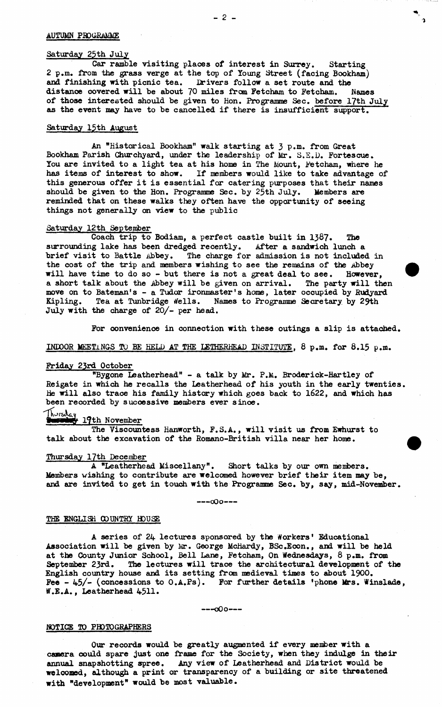# **Saturday 25th July**

**Car ramble visiting places of interest in Surrey. Starting 2 p.m. from the grass verge at the top of Young Street (facing Bookham) and finishing with picnic tea. Drivers follow a set route and the** distance covered will be about 70 miles from Fetcham to Fetcham. **of those interested should be given to Hon. Programme Sec. before 17th July as the event may have to be cancelled if there is insufficient support.**

## **Saturday 15th August**

**An "Historical Bookham" walk starting at 3 p.m. from Great Bookham Parish Churchyard, under the leadership of Mr. S.E.D. Fortescue.** You are invited to a light tea at his home in The Mount, Fetcham, where he **has items of interest to show. If members would like to take advantage of this generous offer it is essential for catering purposes that their names should be given to the Hon. Programme Sec. by 25th July. Members are reminded that on these walks they often have the opportunity of seeing things not generally on view to the public**

#### **Saturday 12th September**

**Coach trip to Bodiam, a perfect castle built in 1387. The surrounding lake has been dredged recently. After a sandwich lunch a brief visit to Battle Abbey. The charge for admission is not included in** the cost of the trip and members wishing to see the remains of the Abbey<br>will have time to do so - but there is not a great deal to see. However, will have time to do so - but there is not a great deal to see. **a short talk about the Abbey will be given on arrival. The party will then move on to Bateman's - a Tudor ironmaster's home, later occupied by Budyard** Kipling. Tea at Tunbridge Wells. Names to Programme Secretary by 29th **July with the charge of 20/- per head.**

**For convenience in connection with these outings a slip is attached.**

# **INDOOR MEETINGS TO BE HELD AT THE LEIHERHEAD INSTITUTE.** 8 **p.m. for 8.15 p.m.**

## **Friday 23rd October**

**"Bygone Leatherhead" - a talk by Mr. P.M. Broderick-Hartley of Reigate in which he recalls the Leatherhead of his youth in the early twenties. He will also trace his family history which goes back to 1622, and which has** been recorded by successive members ever since.<br>Thursday .... November

# 19th November

**The Viscountess Hanworth, F.S.A., will visit us from Ewhurst to talk about the excavation of the Romano-British villa near her home.**

# **Thursday 17th December**

**A "Leatherhead Miscellany". Short talks by our own menfcers. Members wishing to contribute are welcomed however brief their item may be, and are invited to get in touch with the Programme Sec. by, say, mid-November.**

**-- oOo--**

## THE ENGLISH COUNTRY HOUSE

**A series of 24 lectures sponsored by the Workers' Educational Association will be given by Mr. George McHardy, BSc.Econ., and will be held at the County Junior School, Bell Lane, Fetcham, On Wednesdays,** 8 **p.m. from September 23rd. The lectures will trace the architectural development of the English country house and its setting from medieval times to about 1900. Fee - 45/- (concessions to O.A.Ps). For further details 'phone Mrs. Winslade, tf.E.A., Leatherhead 4511\***

**-- oOo--**

## **NOTICE TO PHOTOGRAPHERS**

**Our records would be greatly augmented if every member with a camera could spare just one frame for the Society, when they indulge in their annual snapshotting spree. Any view of Leatherhead and District would be we** 1 **coned, although a print or transparency of a building or site threatened ■with "development" would be most valuable.**

 $\mathbf{L}$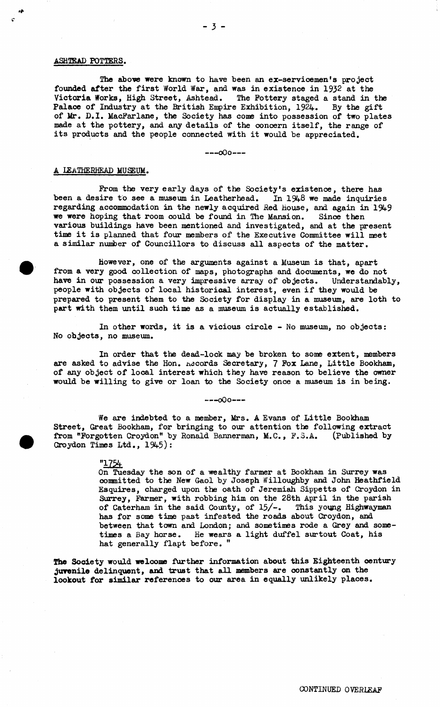#### **ASHTKAD POTTERS.**

**The above were known to have been an ex-servicemen's project founded after the first World War, and was in existence in 193**2 **at the Victoria Works, High Street, Ashtead. The Pottery staged a stand in the Palace of Industry at the British Empire Exhibition, 1924. By the gift of Mr. D.I. MacFarlane, the Society has come into possession of two plates made at the pottery, and any details of the concern itself, the range of its products and the people connected with it would be appreciated.**

**— -oOo--**

#### **A ISATHERHEAD MUSEUM.**

**From the very early days of the Society's existence, there has been a desire to see a museum in Leatherhead. In** 1548 **we made inquiries regarding accommodation in the newly acquired Red House, and again in 1949 we were hoping that room could be found in Hie Mansion. Sinoe then various buildings have been mentioned and investigated, and at the present time it is planned that four members of the Executive Committee will meet a similar number of Councillors to discuss all aspects of the matter.**

**however, one of the arguments against a Museum is that, apart from a very good collection of maps, photographs and documents, we do not have in our possession a very impressive array of objects. Understandably, people with objects of local historical interest, even if they would be prepared to present them to the Society for display in a museum, are loth to part with them until such time as a museum is actually established.**

**In other words, it is a vicious circle - No museum, no objects: No objects, no museum.**

**In order that the dead-lock may be broken to some extent, members are asked to advise the Hon. Accords Secretary, 7 Fox Lane, Little Bookham, of any object of local interest which they have reason to believe the owner would be willing to give or loan to the Society once a museum is in being.**

**— -oOo--**

**We are indebted to a member, Mrs. A Evans of Little Bookham Street, Great Bookham, for bringing to our attention the following extract from "Forgotten Croydon" by Ronald Baxmerman, M.C., P. 3.A. (Published by Croydon Times Ltd., 1945):**

"1754

**On Tuesday the son of a wealthy farmer at Bookham in Surrey was committed to the New Gaol by Joseph Willoughby and John Heathfield Esquires, charged upon the oath of Jeremiah Sippetts of Croydon in Surrey, Farmer, with robbing him on the 28th April in the parish of Caterham in the said County, of 15/-. This young Highwayman has for scone time past infested the roads about Croydon, and between that town and London; and sometimes rode a Grey and sometimes a Bay horse. He wears a light duffel surtout Coat, his hat generally flapt before. "**

**The Society would welcome further information about this Eighteenth century juvenile delinquent, and trust that all members are constantly on the lookout for similar references to our area in equally unlikely places.**